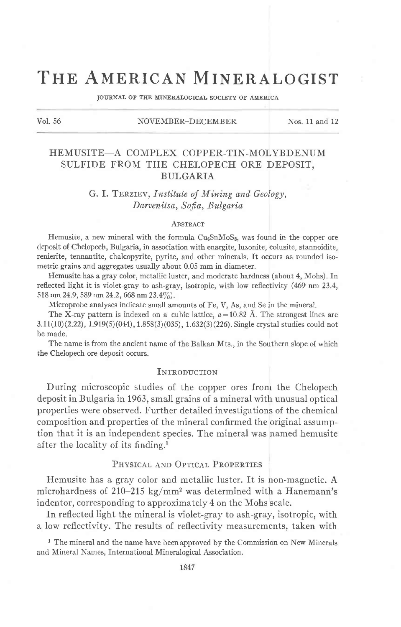# THE AMERICAN MINERALOGIST

JOURNAL OF THE MINERALOGICAL SOCIETY OF AMERICA

#### Vol. 56 NOVEMBER-DECEMBER Nos. 11 and 12

# HEMUSITE-A COMPLEX COPPER-TIN-MOLYBDENUM SULFIDE FROM THE CHELOPECH ORE DEPOSIT. BULGARIA

# G. I. TERZIEV, Institute of Mining and Geology, Darvenitsa, Sofia, Bulgaria

#### **ABSTRACT**

Hemusite, a new mineral with the formula Cu<sub>6</sub>SnMoS<sub>8</sub>, was found in the copper ore deposit of Chelopech, Bulgaria, in association with enargite, luzonite, colusite, stannoidite, renierite, tennantite, chalcopyrite, pyrite, and other minerals. It occurs as rounded isometric grains and aggregates usually about 0.05 mm in diameter.

Hemusite has a gray color, metallic luster, and moderate hardness (about 4, Mohs). In reflected light it is violet-gray to ash-gray, isotropic, with low reflectivity (469 nm 23.4, 518 nm 24.9, 589 nm 24.2, 668 nm 23.4%).

Microprobe analyses indicate small amounts of Fe, V, As, and Se in the mineral.

The X-ray pattern is indexed on a cubic lattice,  $a=10.82$  Å. The strongest lines are 3.Ir(t0)(2.22),1.919(5)(044), 1.858(3)(035), 1.632(3)(226). Single crystal studies could not be made.

The name is from the ancient name of the Balkan Mts., in the Southern slope of which the Chelopech ore deposit occurs.

## INTRODUCTION

During microscopic studies of the copper ores from the Chelopech deposit in Bulgaria in 1963, small grains of a mineral with unusual optical properties were observed. Further detailed investigations of the chemical composition and properties of the mineral confirmed the original assumption that it is an independent species. The mineral was named hemusite after the locality of its finding.<sup>1</sup>

#### PHYSICAL AND OPTICAL PROPERTIES

Hemusite has a gray color and metallic luster. It is non-magnetic. A microhardness of 210-215 kg/mm<sup>2</sup> was determined with a Hanemann's indentor, corresponding to approximately 4 on the Mohs scale.

In reflected light the mineral is violet-gray to ash-gray, isotropic, with a low reflectivity. The results of reflectivity measurements, taken with

<sup>1</sup> The mineral and the name have been approved by the Commission on New Minerals and Mineral Names, International Mineralogical Association.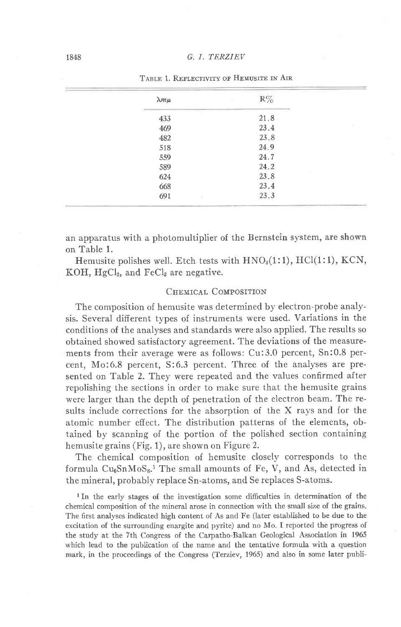| $\lambda m \mu$ | $\mathbb{R}\%$ |  |
|-----------------|----------------|--|
| 433             | 21.8           |  |
| 469             | 23.4           |  |
| 482             | 23.8           |  |
| 518             | 24.9           |  |
| 559             | 24.7           |  |
| 589             | 24.2           |  |
| 624             | 23.8           |  |
| 668             | 23.4           |  |
| 691             | 23.3           |  |
|                 |                |  |

TABLE 1. REFLECTIVITY OF HEMUSITE IN AIR

an apparatus with a photomultiplier of the Bernstein sysiem, are shown on Table 1.

Hemusite polishes well. Etch tests with  $HNO<sub>3</sub>(1:1)$ ,  $HCl(1:1)$ ,  $KCN$ , KOH,  $HgCl<sub>2</sub>$ , and  $FeCl<sub>3</sub>$  are negative.

#### CHEMICAL COMPOSITION

The composition of hemusite was determined by electron-probe analysis. Several different types of instruments were used. Variations in the conditions of the analyses and standards were also applied. The results so obtained showed satisfactory agreement. The deviations of the measurements from their average were as follows: Cu:3.0 percent, Sn:0.8 percent, Mo:6.8 percent, S:6.3 percent. Three of the analyses are presented on Table 2. They were repeated and the values confirmed after repolishing the sections in order to make sure that the hemusite grains were larger than the depth of penetration of the electron beam. The results include corrections for the absorption of the X rays and for the atomic number effect. The distribution patterns of the elements, obtained by scanning of the portion of the polished section containing hemusite grains (Fig. 1), are shown on Figure 2.

The chemical composition of hemusite closely corresponds to the formula  $Cu<sub>6</sub>SnMoS<sub>8</sub>$ .<sup>1</sup> The small amounts of Fe, V, and As, detected in the mineral, probably replace Sn-atoms, and Se replaces S-atoms.

<sup>1</sup>In the early stages of the investigation some difficulties in determination of the chemical composition of the mineral arose in connection with the small size of the grains. The first analyses indicated high content of As and Fe (later established to be due to the excitation of the surrounding enargite and pyrite) and no Mo. I reported the progress of the study at the 7th Congress of the Carpatho-Balkan Geological Association in 1965 which lead to the publication of the name and the tentative formula with a question mark, in the proceedings of the Congress (Terziev, 1965) and also in some later publi-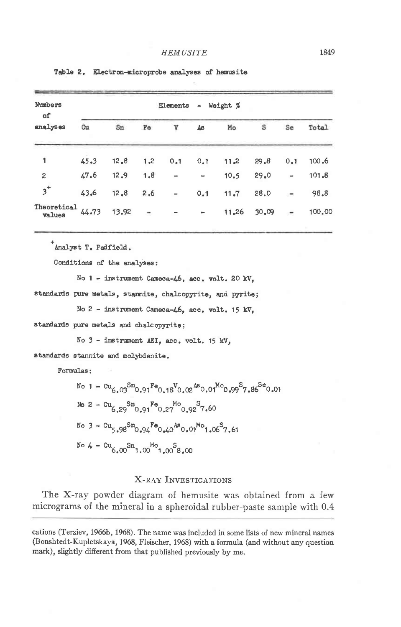| - Weight %<br>Elements |       |     |               |                              |       |       |                              |        |
|------------------------|-------|-----|---------------|------------------------------|-------|-------|------------------------------|--------|
| Cu                     | Sn    | Fe  | V             | As                           | Mo    | S     | Se                           | Total  |
| 45.3                   | 12,8  | 1.2 | 0.1           | 0.1                          | 11,2  | 29,8  | 0.1                          | 100.6  |
| 47.6                   | 12.9  | 1,8 | $\rightarrow$ | $\qquad \qquad$              | 10.5  | 29.0  | $\qquad \qquad \blacksquare$ | 101.8  |
| 43.6                   | 12.8  | 2.6 |               | 0.1                          | 11.7  | 28.0  | $\overline{\phantom{a}}$     | 98.8   |
| Theoretical<br>44.73   | 13.92 | ÷   |               | $\qquad \qquad \blacksquare$ | 11.26 | 30,09 | $\overline{\phantom{a}}$     | 100,00 |
|                        |       |     |               |                              |       |       |                              |        |

Table 2. Electron-microprobe analyses of hemusite

Analyst T. Padfield.

Conditions of the analyses:

No 1 - instrument Cameca-46, acc. volt. 20 kV,

standards pure metals, stannite, chalcopyrite, and pyrite;

No 2 - instrument Cameca-46, acc. volt. 15 kV,

standards pure metals and chalcopyrite;

No 3 - instrument AEI, acc. volt. 15 kV.

standards stannite and molybdenite.

Formulas:

```
No 1 - \alpha_{6.03}Sn<sub>0.91</sub>Fe<sub>0.18</sub>V<sub>0.02</sub>As<sub>0.01</sub>M<sub>0.99</sub>S<sub>7.86</sub>Se<sub>0.01</sub>
No 2 - Cu_{6.29}Sn<sub>0.91</sub>Fe<sub>0.27</sub><sup>Mo</sup><sub>0.92</sub>S<sub>7.60</sub>
No 3 - cu_{5.98}Sn<sub>0.94</sub>Fe<sub>0.40</sub>As<sub>0.01</sub>Mo<sub>1.06</sub>S<sub>7.61</sub>
No 4 - \alpha_{6.00} \text{Sn}_{1.00} \text{Mo}_{1.00} \text{S}_{8.00}
```
### **X-RAY INVESTIGATIONS**

The X-ray powder diagram of hemusite was obtained from a few micrograms of the mineral in a spheroidal rubber-paste sample with 0.4

cations (Terziev, 1966b, 1968). The name was included in some lists of new mineral names (Bonshtedt-Kupletskaya, 1968, Fleischer, 1968) with a formula (and without any question mark), slightly different from that published previously by me.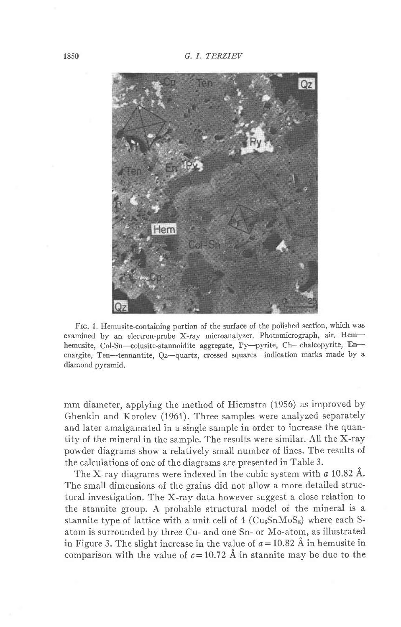1850 G. I. TERZIEV



Frc. 1. Hemusite-containing portion of the surface of the polished section, which was examined by an electron-probe X-ray microanalyzer. Photomicrograph, air. Hemhemusite, Col-Sn-colusite-stannoidite aggregate, Py-pyrite, Ch--chalcopyrite, Enenargite, Ten--tennantite,  $Oz$ -quartz, crossed squares-indication marks made by a diamond pyramid.

mm diameter, applying the method of Hiemstra (1956) as improved by Ghenkin and Korolev (1961). Three samples were analyzed separately and later amalgamated in a singie sample in order to increase the quantity of the mineral in the sample. The results were similar. All the X-ray powder diagrams show a relatively small number of lines. The results of the calculations of one of the diagrams are presented in Table 3.

The X-ray diagrams were indexed in the cubic system with  $a$  10.82 Å. The small dimensions of the grains did not allow a more detailed structural investigation. The X-ray data however suggest a close relation to the stannite group. A probable structural model of the mineral is a stannite type of lattice with a unit cell of  $4$  (Cu<sub>6</sub>SnMoS<sub>8</sub>) where each Satom is surrounded by three Cu- and one Sn- or Mo-atom, as illustrated in Figure 3. The slight increase in the value of  $a=10.82$  Å in hemusite in comparison with the value of  $c=10.72$  Å in stannite may be due to the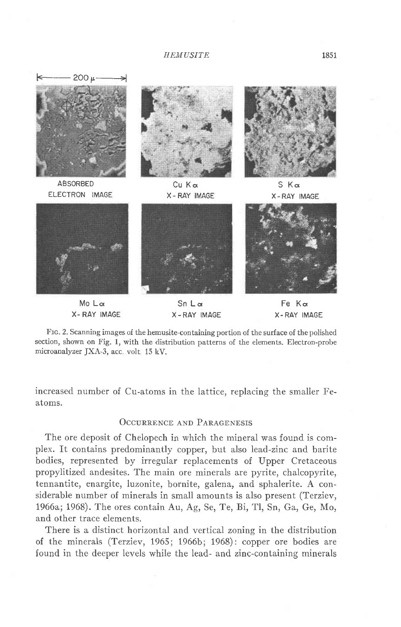**HEMUSITE** 



Frc. 2. Scanning images of the hemusite-containing portion of the surface of the polished section, shown on Fig. 1, with the distribution patterns of the elements. Electron-probe microanalyzer JXA-3, acc volt 15 kV.

increased number of Cu-atoms in the lattice, replacing the smaller Featoms.

### OCCURRENCE AND PARAGENESIS

The ore deposit of Chelopech in which the mineral was found is complex. It contains predominantly copper, but also lead-zinc and barite bodies, represented by irregular replacements of Upper Cretaceous propylitized andesites. The main ore minerals are pyrite, chalcopyrite, tennantite, enargite, luzonite, bornite, galena, and sphalerite. A considerable number of minerals in small amounts is also present (Terziev, 1966a;1968). The ores contain Au, Ag, Se, Te, Bi, Tl, Sn, Ga, Ge, Mo, and other trace elements.

There is a distinct horizontal and vertical zoning in the distribution of the minerals (Terziev, 1965; 1966b; 1968): copper ore bodies are found in the deeper levels while the lead- and zinc-containing minerals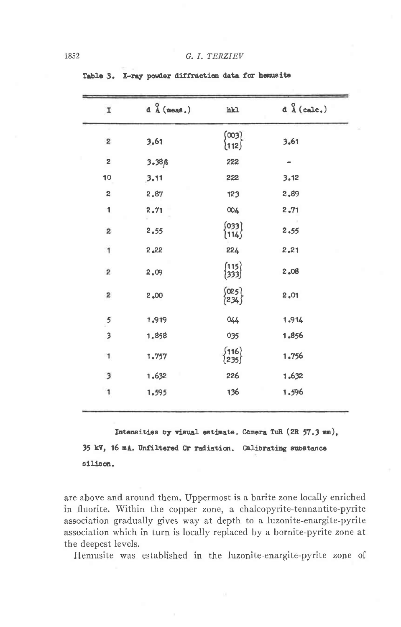| I                       | $d \stackrel{0}{\Lambda}$ (meas.) | hkl                                        |       |  |
|-------------------------|-----------------------------------|--------------------------------------------|-------|--|
| $\boldsymbol{2}$        | 3,61                              | (003)<br>{112 <i>}</i>                     | 3,61  |  |
| 2                       | $3.38\beta$                       | 222                                        |       |  |
| 10                      | 3.11                              | 222                                        | 3.12  |  |
| $\boldsymbol{2}$        | 2,87                              | 123                                        | 2.89  |  |
| 1                       | 2,71                              | 004                                        | 2,71  |  |
| 2                       | 2,55                              | $\begin{Bmatrix} 033 \\ 114 \end{Bmatrix}$ | 2.55  |  |
| 1                       | 2,22                              | 224                                        | 2.21  |  |
| $\boldsymbol{2}$        | 2,09                              | (115)<br>(333)                             | 2,08  |  |
| S                       | 2,00                              | (025)<br>{234}                             | 2,01  |  |
| $\frac{5}{2}$           | 1.919                             | 044                                        | 1.914 |  |
| 3                       | 1.858                             | 035                                        | 1.856 |  |
| $\mathbf{1}$            | 1.757                             | $\begin{Bmatrix} 116 \ 235 \end{Bmatrix}$  | 1.756 |  |
| $\overline{\mathbf{3}}$ | 1.632                             | 226                                        | 1.632 |  |
| 1                       | 1.595                             | 136                                        | 1.596 |  |

Table 3. X-ray powder diffraction data for hemusite

Intensities by visual estimate. Camera TuR (2R 57.3 mm), 35 kV, 16 mA. Unfiltered Cr radiation. Calibrating substance silicon.

are above and around them. Uppermost is a barite zone locally enriched in fluorite. Within the copper zone, a chalcopyrite-tennantite-pyrite association gradually gives way at depth to a luzonite-enargite-pyrite association which in turn is locally replaced by a bornite-pyrite zone at the deepest levels.

Hemusite was established in the luzonite-enargite-pyrite zone of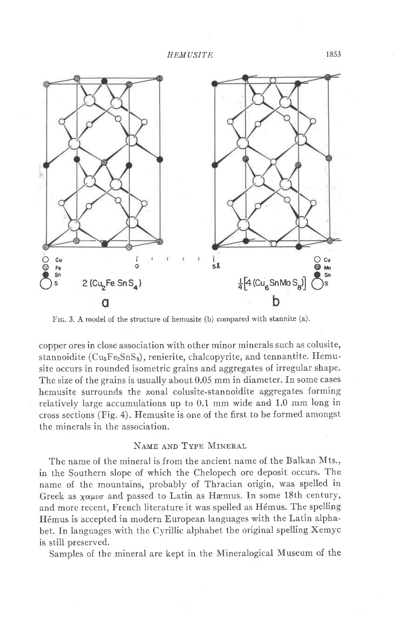**HEMUSITE** 



Frc. 3. A model of the structure of hemusite (b) compared with stannite (a).

copper ores in close association with other minor minerals such as colusite, stannoidite (Cu<sub>5</sub>Fe<sub>2</sub>SnS<sub>8</sub>), renierite, chalcopyrite, and tennantite. Hemusite occurs in rounded isometric grains and aggregates of irregular shape. The size of the grains is usually about 0.05 mm in diameter. In some cases hemusite surrounds the zonal colusite-stannoidite aggregates forming relatively large accumulations up to 0.1 mm wide and 1.0 mm long in cross sections (Fig. 4). Hemusite is one of the first to be formed amongst the minerals in the association.

## NAME AND TYPE MINERAL

The name of the mineral is from the ancient name of the Balkan Mts., in the Southern slope of which the Chelopech ore deposit occurs. The name of the mountains, probably of Thracian origin, was spelled in Greek as  $\chi \alpha \mu\nu\sigma$  and passed to Latin as Hæmus. In some 18th century, and more recent, French literature it was spelled as Hémus. The spelling H6mus is accepted in modern European languages with the Latin alphabet. In languages with the Cyrillic alphabet the original spelling Xemyc is still preserved.

Samples of the mineral are kept in the Mineralogical Museum of the